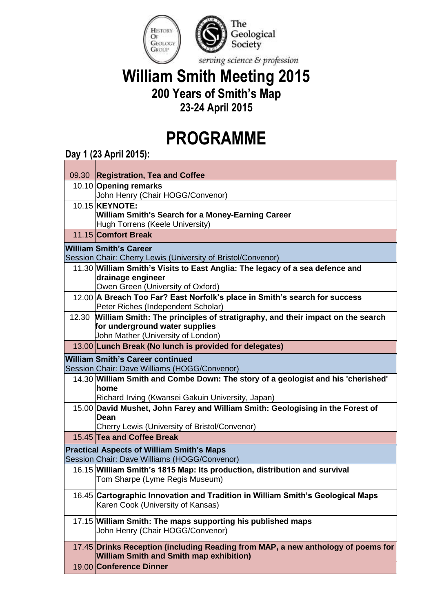

## **William Smith Meeting 2015 200 Years of Smith's Map**

## **23-24 April 2015**

## **PROGRAMME**

## **Day 1 (23 April 2015):**

|                                                  | 09.30 Registration, Tea and Coffee                                                                                    |  |
|--------------------------------------------------|-----------------------------------------------------------------------------------------------------------------------|--|
|                                                  | 10.10 Opening remarks                                                                                                 |  |
|                                                  | John Henry (Chair HOGG/Convenor)                                                                                      |  |
|                                                  | 10.15 <b>KEYNOTE:</b>                                                                                                 |  |
|                                                  | <b>William Smith's Search for a Money-Earning Career</b>                                                              |  |
|                                                  | Hugh Torrens (Keele University)                                                                                       |  |
|                                                  | 11.15 Comfort Break                                                                                                   |  |
| William Smith's Career                           |                                                                                                                       |  |
|                                                  | Session Chair: Cherry Lewis (University of Bristol/Convenor)                                                          |  |
|                                                  | 11.30 William Smith's Visits to East Anglia: The legacy of a sea defence and                                          |  |
|                                                  | drainage engineer                                                                                                     |  |
|                                                  | Owen Green (University of Oxford)                                                                                     |  |
|                                                  | 12.00 A Breach Too Far? East Norfolk's place in Smith's search for success                                            |  |
|                                                  | Peter Riches (Independent Scholar)                                                                                    |  |
|                                                  | 12.30 William Smith: The principles of stratigraphy, and their impact on the search<br>for underground water supplies |  |
|                                                  | John Mather (University of London)                                                                                    |  |
|                                                  | 13.00 Lunch Break (No lunch is provided for delegates)                                                                |  |
| <b>William Smith's Career continued</b>          |                                                                                                                       |  |
|                                                  | Session Chair: Dave Williams (HOGG/Convenor)                                                                          |  |
|                                                  | 14.30 William Smith and Combe Down: The story of a geologist and his 'cherished'                                      |  |
|                                                  | home                                                                                                                  |  |
|                                                  | Richard Irving (Kwansei Gakuin University, Japan)                                                                     |  |
|                                                  | 15.00 David Mushet, John Farey and William Smith: Geologising in the Forest of                                        |  |
|                                                  | Dean                                                                                                                  |  |
|                                                  | Cherry Lewis (University of Bristol/Convenor)                                                                         |  |
|                                                  | 15.45 Tea and Coffee Break                                                                                            |  |
| <b>Practical Aspects of William Smith's Maps</b> |                                                                                                                       |  |
|                                                  | Session Chair: Dave Williams (HOGG/Convenor)                                                                          |  |
|                                                  | 16.15 William Smith's 1815 Map: Its production, distribution and survival                                             |  |
|                                                  | Tom Sharpe (Lyme Regis Museum)                                                                                        |  |
|                                                  | 16.45 Cartographic Innovation and Tradition in William Smith's Geological Maps                                        |  |
|                                                  | Karen Cook (University of Kansas)                                                                                     |  |
|                                                  |                                                                                                                       |  |
|                                                  | 17.15 William Smith: The maps supporting his published maps<br>John Henry (Chair HOGG/Convenor)                       |  |
|                                                  |                                                                                                                       |  |
|                                                  | 17.45 Drinks Reception (including Reading from MAP, a new anthology of poems for                                      |  |
|                                                  | <b>William Smith and Smith map exhibition)</b>                                                                        |  |
|                                                  | 19.00 Conference Dinner                                                                                               |  |